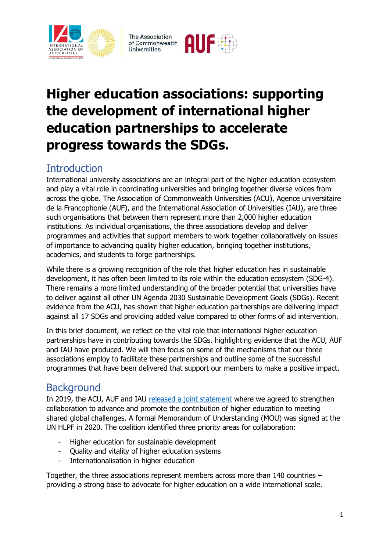





# **Higher education associations: supporting the development of international higher education partnerships to accelerate progress towards the SDGs.**

# **Introduction**

International university associations are an integral part of the higher education ecosystem and play a vital role in coordinating universities and bringing together diverse voices from across the globe. The Association of Commonwealth Universities (ACU), Agence universitaire de la Francophonie (AUF), and the International Association of Universities (IAU), are three such organisations that between them represent more than 2,000 higher education institutions. As individual organisations, the three associations develop and deliver programmes and activities that support members to work together collaboratively on issues of importance to advancing quality higher education, bringing together institutions, academics, and students to forge partnerships.

While there is a growing recognition of the role that higher education has in sustainable development, it has often been limited to its role within the education ecosystem (SDG-4). There remains a more limited understanding of the broader potential that universities have to deliver against all other UN Agenda 2030 Sustainable Development Goals (SDGs). Recent evidence from the ACU, has shown that higher education partnerships are delivering impact against all 17 SDGs and providing added value compared to other forms of aid intervention.

In this brief document, we reflect on the vital role that international higher education partnerships have in contributing towards the SDGs, highlighting evidence that the ACU, AUF and IAU have produced. We will then focus on some of the mechanisms that our three associations employ to facilitate these partnerships and outline some of the successful programmes that have been delivered that support our members to make a positive impact.

## **Background**

In 2019, the ACU, AUF and IAU [released a joint statement](https://www.acu.ac.uk/news/our-united-commitment-to-higher-education/) where we agreed to strengthen collaboration to advance and promote the contribution of higher education to meeting shared global challenges. A formal Memorandum of Understanding (MOU) was signed at the UN HLPF in 2020. The coalition identified three priority areas for collaboration:

- Higher education for sustainable development
- Quality and vitality of higher education systems
- Internationalisation in higher education

Together, the three associations represent members across more than 140 countries – providing a strong base to advocate for higher education on a wide international scale.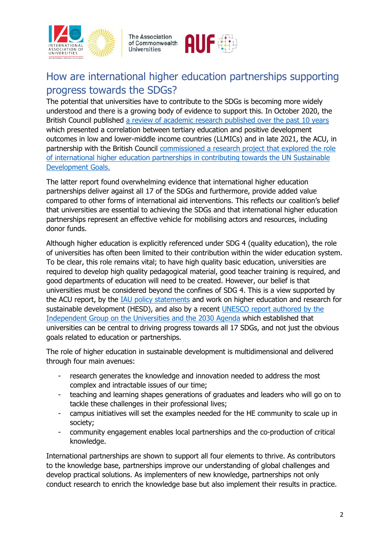





# How are international higher education partnerships supporting progress towards the SDGs?

The potential that universities have to contribute to the SDGs is becoming more widely understood and there is a growing body of evidence to support this. In October 2020, the British Council published [a review of academic research published over the past 10 years](https://www.britishcouncil.org/research-policy-insight/research-reports/tertiary-education-development) which presented a correlation between tertiary education and positive development outcomes in low and lower-middle income countries (LLMICs) and in late 2021, the ACU, in partnership with the British Council [commissioned a research project that](https://www.acu.ac.uk/media/4018/international-he-partnerships-and-the-sdgs-report.pdf) explored the role [of international higher education partnerships in contributing towards the UN Sustainable](https://www.acu.ac.uk/media/4018/international-he-partnerships-and-the-sdgs-report.pdf)  [Development Goals.](https://www.acu.ac.uk/media/4018/international-he-partnerships-and-the-sdgs-report.pdf)

The latter report found overwhelming evidence that international higher education partnerships deliver against all 17 of the SDGs and furthermore, provide added value compared to other forms of international aid interventions. This reflects our coalition's belief that universities are essential to achieving the SDGs and that international higher education partnerships represent an effective vehicle for mobilising actors and resources, including donor funds.

Although higher education is explicitly referenced under SDG 4 (quality education), the role of universities has often been limited to their contribution within the wider education system. To be clear, this role remains vital; to have high quality basic education, universities are required to develop high quality pedagogical material, good teacher training is required, and good departments of education will need to be created. However, our belief is that universities must be considered beyond the confines of SDG 4. This is a view supported by the ACU report, by the **IAU** policy statements and work on higher education and research for sustainable development (HESD), and also by a recent UNESCO [report authored by the](https://unesdoc.unesco.org/ark:/48223/pf0000380519)  [Independent Group on the Universities and the 2030 Agenda](https://unesdoc.unesco.org/ark:/48223/pf0000380519) which established that universities can be central to driving progress towards all 17 SDGs, and not just the obvious goals related to education or partnerships.

The role of higher education in sustainable development is multidimensional and delivered through four main avenues:

- research generates the knowledge and innovation needed to address the most complex and intractable issues of our time;
- teaching and learning shapes generations of graduates and leaders who will go on to tackle these challenges in their professional lives;
- campus initiatives will set the examples needed for the HE community to scale up in society;
- community engagement enables local partnerships and the co-production of critical knowledge.

International partnerships are shown to support all four elements to thrive. As contributors to the knowledge base, partnerships improve our understanding of global challenges and develop practical solutions. As implementers of new knowledge, partnerships not only conduct research to enrich the knowledge base but also implement their results in practice.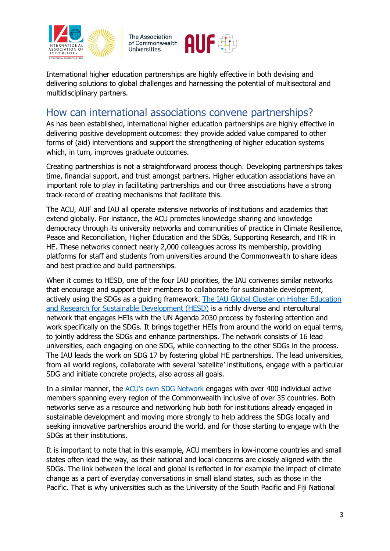





International higher education partnerships are highly effective in both devising and delivering solutions to global challenges and harnessing the potential of multisectoral and multidisciplinary partners.

#### How can international associations convene partnerships?

As has been established, international higher education partnerships are highly effective in delivering positive development outcomes: they provide added value compared to other forms of (aid) interventions and support the strengthening of higher education systems which, in turn, improves graduate outcomes.

Creating partnerships is not a straightforward process though. Developing partnerships takes time, financial support, and trust amongst partners. Higher education associations have an important role to play in facilitating partnerships and our three associations have a strong track-record of creating mechanisms that facilitate this.

The ACU, AUF and IAU all operate extensive networks of institutions and academics that extend globally. For instance, the ACU promotes knowledge sharing and knowledge democracy through its university networks and communities of practice in Climate Resilience, Peace and Reconciliation, Higher Education and the SDGs, Supporting Research, and HR in HE. These networks connect nearly 2,000 colleagues across its membership, providing platforms for staff and students from universities around the Commonwealth to share ideas and best practice and build partnerships.

When it comes to HESD, one of the four IAU priorities, the IAU convenes similar networks that encourage and support their members to collaborate for sustainable development, actively using the SDGs as a guiding framework. [The IAU Global Cluster on Higher Education](https://www.iau-hesd.net/contenu/4648-iau-global-cluster-hesd.html)  [and Research for Sustainable Development \(HESD\)](https://www.iau-hesd.net/contenu/4648-iau-global-cluster-hesd.html) is a richly diverse and intercultural network that engages HEIs with the UN Agenda 2030 process by fostering attention and work specifically on the SDGs. It brings together HEIs from around the world on equal terms, to jointly address the SDGs and enhance partnerships. The network consists of 16 lead universities, each engaging on one SDG, while connecting to the other SDGs in the process. The IAU leads the work on SDG 17 by fostering global HE partnerships. The lead universities, from all world regions, collaborate with several 'satellite' institutions, engage with a particular SDG and initiate concrete projects, also across all goals.

In a similar manner, the ACU's [own SDG Network](https://www.acu.ac.uk/get-involved/higher-education-and-the-sdgs-network/) engages with over 400 individual active members spanning every region of the Commonwealth inclusive of over 35 countries. Both networks serve as a resource and networking hub both for institutions already engaged in sustainable development and moving more strongly to help address the SDGs locally and seeking innovative partnerships around the world, and for those starting to engage with the SDGs at their institutions.

It is important to note that in this example, ACU members in low-income countries and small states often lead the way, as their national and local concerns are closely aligned with the SDGs. The link between the local and global is reflected in for example the impact of climate change as a part of everyday conversations in small island states, such as those in the Pacific. That is why universities such as the University of the South Pacific and Fiji National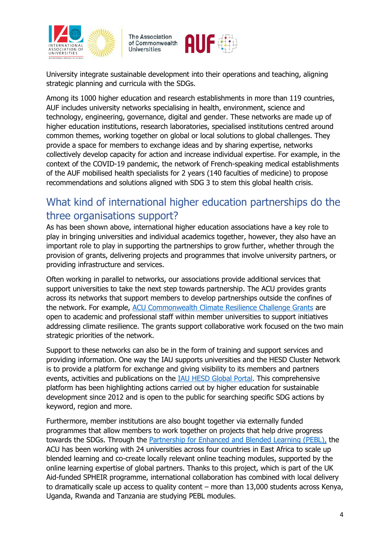





University integrate sustainable development into their operations and teaching, aligning strategic planning and curricula with the SDGs.

Among its 1000 higher education and research establishments in more than 119 countries, AUF includes university networks specialising in health, environment, science and technology, engineering, governance, digital and gender. These networks are made up of higher education institutions, research laboratories, specialised institutions centred around common themes, working together on global or local solutions to global challenges. They provide a space for members to exchange ideas and by sharing expertise, networks collectively develop capacity for action and increase individual expertise. For example, in the context of the COVID-19 pandemic, the network of French-speaking medical establishments of the AUF mobilised health specialists for 2 years (140 faculties of medicine) to propose recommendations and solutions aligned with SDG 3 to stem this global health crisis.

### What kind of international higher education partnerships do the three organisations support?

As has been shown above, international higher education associations have a key role to play in bringing universities and individual academics together, however, they also have an important role to play in supporting the partnerships to grow further, whether through the provision of grants, delivering projects and programmes that involve university partners, or providing infrastructure and services.

Often working in parallel to networks, our associations provide additional services that support universities to take the next step towards partnership. The ACU provides grants across its networks that support members to develop partnerships outside the confines of the network. For example, [ACU Commonwealth Climate Resilience Challenge Grants](file://///UXENSVR/%7bFD34A37F%7d/EXT/82/ACU%20Commonwealth%20Climate%20Resilience%20Challenge%20Grants) are open to academic and professional staff within member universities to support initiatives addressing climate resilience. The grants support collaborative work focused on the two main strategic priorities of the network.

Support to these networks can also be in the form of training and support services and providing information. One way the IAU supports universities and the HESD Cluster Network is to provide a platform for exchange and giving visibility to its members and partners events, activities and publications on the [IAU HESD Global Portal.](https://www.iau-hesd.net/) This comprehensive platform has been highlighting actions carried out by higher education for sustainable development since 2012 and is open to the public for searching specific SDG actions by keyword, region and more.

Furthermore, member institutions are also bought together via externally funded programmes that allow members to work together on projects that help drive progress towards the SDGs. Through the **Partnership for Enhanced and Blended Learning (PEBL)**, the ACU has been working with 24 universities across four countries in East Africa to scale up blended learning and co-create locally relevant online teaching modules, supported by the online learning expertise of global partners. Thanks to this project, which is part of the UK Aid-funded SPHEIR programme, international collaboration has combined with local delivery to dramatically scale up access to quality content – more than 13,000 students across Kenya, Uganda, Rwanda and Tanzania are studying PEBL modules.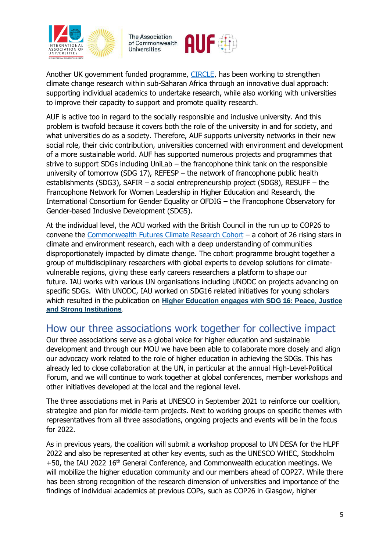

**The Association** of Commonwealth **Universities** 



Another UK government funded programme, [CIRCLE,](https://www.acu.ac.uk/get-involved/circle/) has been working to strengthen climate change research within sub-Saharan Africa through an innovative dual approach: supporting individual academics to undertake research, while also working with universities to improve their capacity to support and promote quality research.

AUF is active too in regard to the socially responsible and inclusive university. And this problem is twofold because it covers both the role of the university in and for society, and what universities do as a society. Therefore, AUF supports university networks in their new social role, their civic contribution, universities concerned with environment and development of a more sustainable world. AUF has supported numerous projects and programmes that strive to support SDGs including UniLab – the francophone think tank on the responsible university of tomorrow (SDG 17), REFESP – the network of francophone public health establishments (SDG3), SAFIR – a social entrepreneurship project (SDG8), RESUFF – the Francophone Network for Women Leadership in Higher Education and Research, the International Consortium for Gender Equality or OFDIG – the Francophone Observatory for Gender-based Inclusive Development (SDG5).

At the individual level, the ACU worked with the British Council in the run up to COP26 to convene the [Commonwealth Futures Climate Research Cohort](https://www.acu.ac.uk/get-involved/cop26-commonwealth-futures-climate-research-cohort/) - a cohort of 26 rising stars in climate and environment research, each with a deep understanding of communities disproportionately impacted by climate change. The cohort programme brought together a group of multidisciplinary researchers with global experts to develop solutions for climatevulnerable regions, giving these early careers researchers a platform to shape our future. IAU works with various UN organisations including UNODC on projects advancing on specific SDGs. With UNODC, IAU worked on SDG16 related initiatives for young scholars which resulted in the publication on **[Higher Education engages with SDG 16: Peace, Justice](https://www.iau-aiu.net/Higher-Education-engages-with-SDG-16-Peace-Justice-and-Strong-Institutions-1314)  [and Strong Institutions](https://www.iau-aiu.net/Higher-Education-engages-with-SDG-16-Peace-Justice-and-Strong-Institutions-1314)**.

### How our three associations work together for collective impact

Our three associations serve as a global voice for higher education and sustainable development and through our MOU we have been able to collaborate more closely and align our advocacy work related to the role of higher education in achieving the SDGs. This has already led to close collaboration at the UN, in particular at the annual High-Level-Political Forum, and we will continue to work together at global conferences, member workshops and other initiatives developed at the local and the regional level.

The three associations met in Paris at UNESCO in September 2021 to reinforce our coalition, strategize and plan for middle-term projects. Next to working groups on specific themes with representatives from all three associations, ongoing projects and events will be in the focus for 2022.

As in previous years, the coalition will submit a workshop proposal to UN DESA for the HLPF 2022 and also be represented at other key events, such as the UNESCO WHEC, Stockholm  $+50$ , the IAU 2022 16<sup>th</sup> General Conference, and Commonwealth education meetings. We will mobilize the higher education community and our members ahead of COP27. While there has been strong recognition of the research dimension of universities and importance of the findings of individual academics at previous COPs, such as COP26 in Glasgow, higher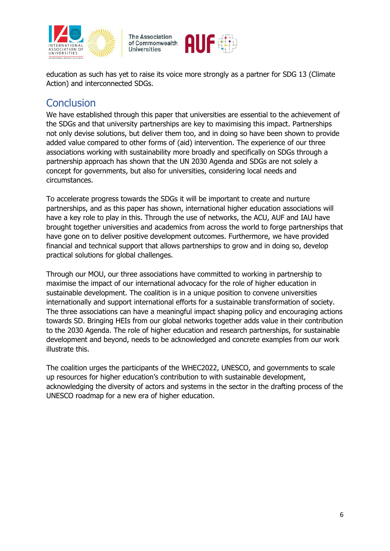

**The Association** of Commonwealth **Universities** 



education as such has yet to raise its voice more strongly as a partner for SDG 13 (Climate Action) and interconnected SDGs.

#### **Conclusion**

We have established through this paper that universities are essential to the achievement of the SDGs and that university partnerships are key to maximising this impact. Partnerships not only devise solutions, but deliver them too, and in doing so have been shown to provide added value compared to other forms of (aid) intervention. The experience of our three associations working with sustainability more broadly and specifically on SDGs through a partnership approach has shown that the UN 2030 Agenda and SDGs are not solely a concept for governments, but also for universities, considering local needs and circumstances.

To accelerate progress towards the SDGs it will be important to create and nurture partnerships, and as this paper has shown, international higher education associations will have a key role to play in this. Through the use of networks, the ACU, AUF and IAU have brought together universities and academics from across the world to forge partnerships that have gone on to deliver positive development outcomes. Furthermore, we have provided financial and technical support that allows partnerships to grow and in doing so, develop practical solutions for global challenges.

Through our MOU, our three associations have committed to working in partnership to maximise the impact of our international advocacy for the role of higher education in sustainable development. The coalition is in a unique position to convene universities internationally and support international efforts for a sustainable transformation of society. The three associations can have a meaningful impact shaping policy and encouraging actions towards SD. Bringing HEIs from our global networks together adds value in their contribution to the 2030 Agenda. The role of higher education and research partnerships, for sustainable development and beyond, needs to be acknowledged and concrete examples from our work illustrate this.

The coalition urges the participants of the WHEC2022, UNESCO, and governments to scale up resources for higher education's contribution to with sustainable development, acknowledging the diversity of actors and systems in the sector in the drafting process of the UNESCO roadmap for a new era of higher education.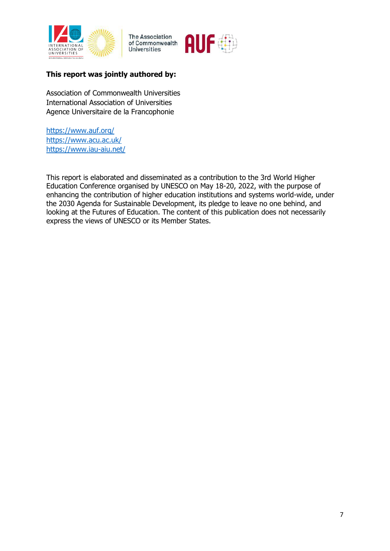

The Association<br>of Commonwealth **Universities** 



#### **This report was jointly authored by:**

Association of Commonwealth Universities International Association of Universities Agence Universitaire de la Francophonie

<https://www.auf.org/> <https://www.acu.ac.uk/> <https://www.iau-aiu.net/>

This report is elaborated and disseminated as a contribution to the 3rd World Higher Education Conference organised by UNESCO on May 18-20, 2022, with the purpose of enhancing the contribution of higher education institutions and systems world-wide, under the 2030 Agenda for Sustainable Development, its pledge to leave no one behind, and looking at the Futures of Education. The content of this publication does not necessarily express the views of UNESCO or its Member States.